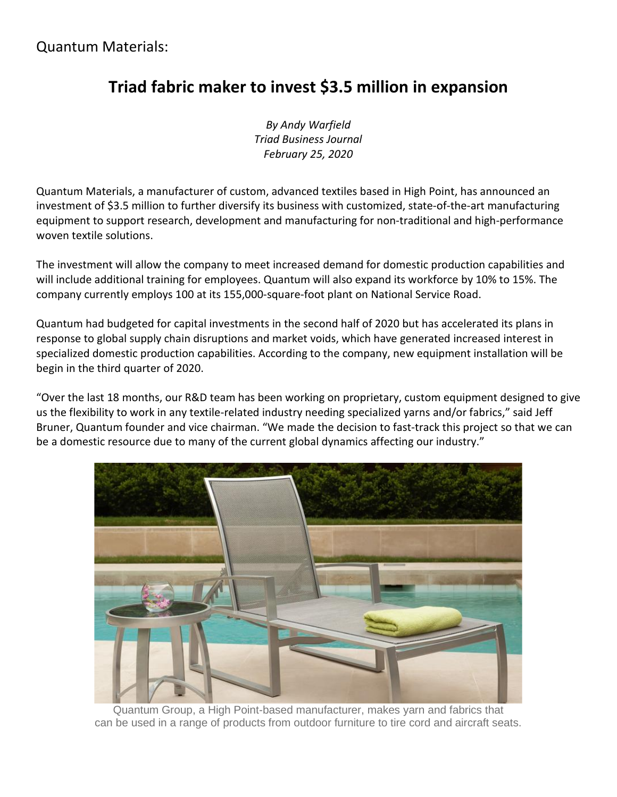## **Triad fabric maker to invest \$3.5 million in expansion**

*By Andy Warfield Triad Business Journal February 25, 2020*

Quantum Materials, a manufacturer of custom, advanced textiles based in High Point, has announced an investment of \$3.5 million to further diversify its business with customized, state-of-the-art manufacturing equipment to support research, development and manufacturing for non-traditional and high-performance woven textile solutions.

The investment will allow the company to meet increased demand for domestic production capabilities and will include additional training for employees. Quantum will also expand its workforce by 10% to 15%. The company currently employs 100 at its 155,000-square-foot plant on National Service Road.

Quantum had budgeted for capital investments in the second half of 2020 but has accelerated its plans in response to global supply chain disruptions and market voids, which have generated increased interest in specialized domestic production capabilities. According to the company, new equipment installation will be begin in the third quarter of 2020.

"Over the last 18 months, our R&D team has been working on proprietary, custom equipment designed to give us the flexibility to work in any textile-related industry needing specialized yarns and/or fabrics," said Jeff Bruner, Quantum founder and vice chairman. "We made the decision to fast-track this project so that we can be a domestic resource due to many of the current global dynamics affecting our industry."



Quantum Group, a High Point-based manufacturer, makes yarn and fabrics that can be used in a range of products from outdoor furniture to tire cord and aircraft seats.